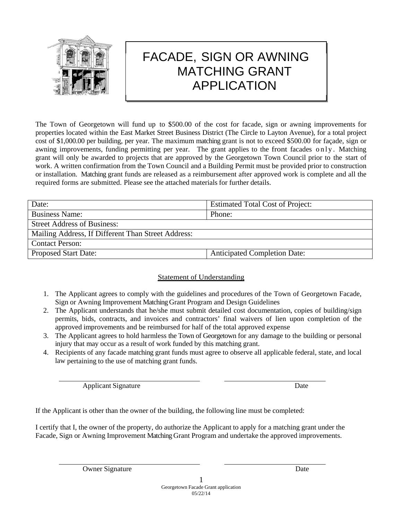

# FACADE, SIGN OR AWNING MATCHING GRANT APPLICATION

The Town of Georgetown will fund up to \$500.00 of the cost for facade, sign or awning improvements for properties located within the East Market Street Business District (The Circle to Layton Avenue), for a total project cost of \$1,000.00 per building, per year. The maximum matching grant is not to exceed \$500.00 for façade, sign or awning improvements, funding permitting per year. The grant applies to the front facades only. Matching grant will only be awarded to projects that are approved by the Georgetown Town Council prior to the start of work. A written confirmation from the Town Council and a Building Permit must be provided prior to construction or installation. Matching grant funds are released as a reimbursement after approved work is complete and all the required forms are submitted. Please see the attached materials for further details.

| Date:                                              | <b>Estimated Total Cost of Project:</b> |
|----------------------------------------------------|-----------------------------------------|
| <b>Business Name:</b>                              | Phone:                                  |
| <b>Street Address of Business:</b>                 |                                         |
| Mailing Address, If Different Than Street Address: |                                         |
| <b>Contact Person:</b>                             |                                         |
| <b>Proposed Start Date:</b>                        | <b>Anticipated Completion Date:</b>     |

## **Statement of Understanding**

- 1. The Applicant agrees to comply with the guidelines and procedures of the Town of Georgetown Facade, Sign or Awning Improvement Matching Grant Program and Design Guidelines
- 2. The Applicant understands that he/she must submit detailed cost documentation, copies of building/sign permits, bids, contracts, and invoices and contractors' final waivers of lien upon completion of the approved improvements and be reimbursed for half of the total approved expense
- 3. The Applicant agrees to hold harmless the Town of Georgetown for any damage to the building or personal injury that may occur as a result of work funded by this matching grant.
- 4. Recipients of any facade matching grant funds must agree to observe all applicable federal, state, and local law pertaining to the use of matching grant funds.

Applicant Signature Date

If the Applicant is other than the owner of the building, the following line must be completed:

I certify that I, the owner of the property, do authorize the Applicant to apply for a matching grant under the Facade, Sign or Awning Improvement Matching Grant Program and undertake the approved improvements.

Owner Signature Date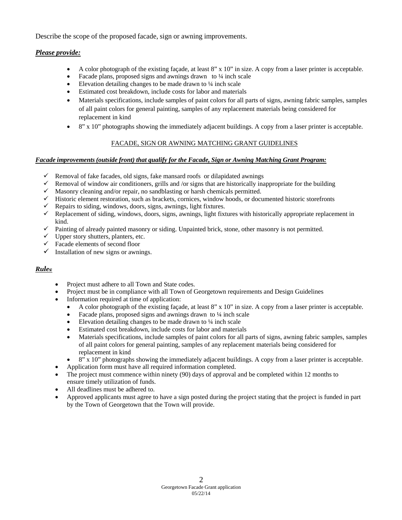Describe the scope of the proposed facade, sign or awning improvements.

#### *Please provide:*

- A color photograph of the existing façade, at least 8" x 10" in size. A copy from a laser printer is acceptable.
- Facade plans, proposed signs and awnings drawn to  $\frac{1}{4}$  inch scale
- Elevation detailing changes to be made drawn to  $\frac{1}{4}$  inch scale
- Estimated cost breakdown, include costs for labor and materials
- Materials specifications, include samples of paint colors for all parts of signs, awning fabric samples, samples of all paint colors for general painting, samples of any replacement materials being considered for replacement in kind
- 8" x 10" photographs showing the immediately adjacent buildings. A copy from a laser printer is acceptable.

## FACADE, SIGN OR AWNING MATCHING GRANT GUIDELINES

#### *Facade improvements (outside front) that qualify for the Facade, Sign or Awning Matching Grant Program:*

- $\checkmark$  Removal of fake facades, old signs, fake mansard roofs or dilapidated awnings
- Exercise Removal of window air conditioners, grills and /or signs that are historically inappropriate for the building
- $\checkmark$  Masonry cleaning and/or repair, no sandblasting or harsh chemicals permitted.
- $\checkmark$  Historic element restoration, such as brackets, cornices, window hoods, or documented historic storefronts
- Repairs to siding, windows, doors, signs, awnings, light fixtures.
- $\checkmark$  Replacement of siding, windows, doors, signs, awnings, light fixtures with historically appropriate replacement in kind.
- $\checkmark$  Painting of already painted masonry or siding. Unpainted brick, stone, other masonry is not permitted.
- $\checkmark$  Upper story shutters, planters, etc.
- $\checkmark$  Facade elements of second floor
- $\checkmark$  Installation of new signs or awnings.

## *Rules:*

- Project must adhere to all Town and State codes.
- Project must be in compliance with all Town of Georgetown requirements and Design Guidelines
- Information required at time of application:
	- A color photograph of the existing façade, at least 8" x 10" in size. A copy from a laser printer is acceptable.
	- Facade plans, proposed signs and awnings drawn to 1/4 inch scale
	- Elevation detailing changes to be made drawn to ¼ inch scale
	- Estimated cost breakdown, include costs for labor and materials
	- Materials specifications, include samples of paint colors for all parts of signs, awning fabric samples, samples of all paint colors for general painting, samples of any replacement materials being considered for replacement in kind
	- 8" x 10" photographs showing the immediately adjacent buildings. A copy from a laser printer is acceptable.
- Application form must have all required information completed.
- The project must commence within ninety (90) days of approval and be completed within 12 months to ensure timely utilization of funds.
- All deadlines must be adhered to.
- Approved applicants must agree to have a sign posted during the project stating that the project is funded in part by the Town of Georgetown that the Town will provide.